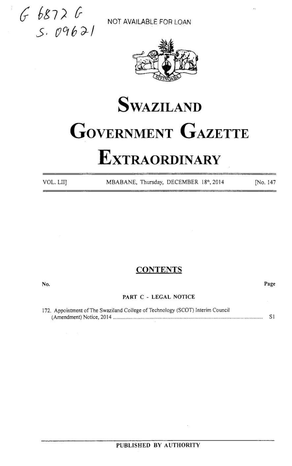$668726$  $\overline{S}$ .  $\overline{O96}$   $\overline{O1}$  NOT AVAILABLE FOR LOAN



# **SWAZILAND** GOVERNMENT GAZETTE EXTRACTORD SWAZILAND<br>
SWAZILAND<br>
SWAZILAND<br>
SWAZILAND<br>
EXTRAORDINARY  $\begin{array}{c}\n\mathcal{E} \mathcal{I} \mathcal{I} & \mathcal{E} \\
\mathcal{I} \mathcal{I} \mathcal{I} & \mathcal{I} \mathcal{I} \mathcal{I} \\
\mathcal{I} \mathcal{I} \mathcal{I} \mathcal{I} \mathcal{I}\n\end{array}$ **EXTRAORDINARY** SETTE SURVAILABLE FOR LOAN<br>
SURVAZILAND<br>
SURVAZILAND<br>
SURVAZILAND<br>
TOLLITI EXTRAORDINARY<br>
VOLLITI MABANE, Thurday, DECEMBER 184,2014 PAG. 14<br>
VOLLITI MABANE, Thurday, DECEMBER 184,2014 PAG. 14<br>
No.<br>
2011 PAGE C - LEGAL NO

VOL. LII] MBABANE, Thursday, DECEMBER 18th, 2014 [No. 147]

## **CONTENTS**

No. Page

### PART C - LEGAL NOTICE

172. Appointment of The Swaziland College of Technology (SCOT) Interim Council (Amendment) Notice, <sup>2014</sup> oceecccccse ee rertenseees nee csieieeensesensseenesssessesscaneeeseascseseriscnereeeieseees SI